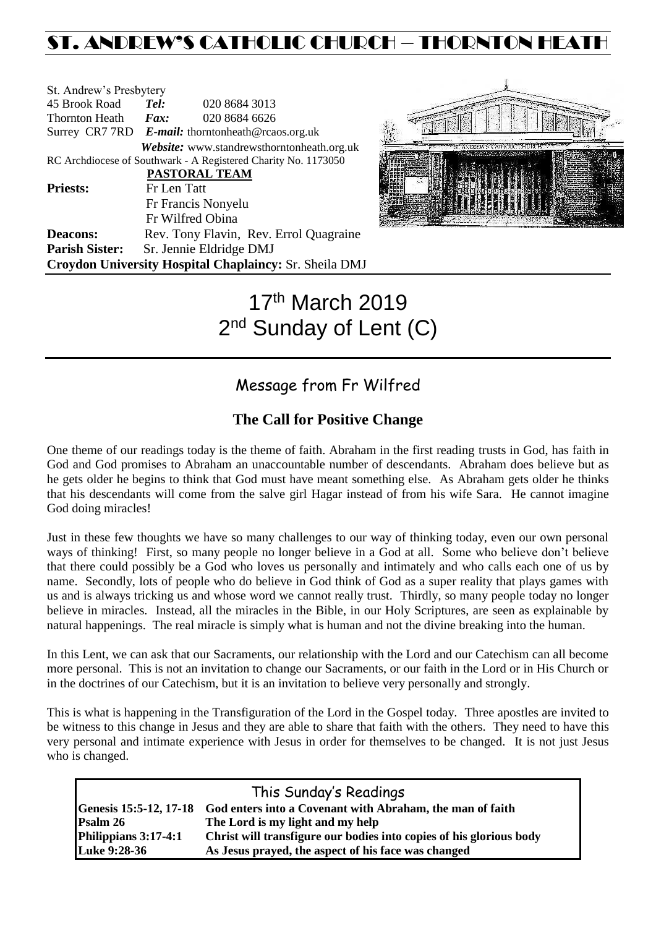## ST. ANDREW'S CATHOLIC CHURCH – THORNTON HEATH

| St. Andrew's Presbytery     |                                                   |                                                                |  |  |
|-----------------------------|---------------------------------------------------|----------------------------------------------------------------|--|--|
| 45 Brook Road               | Tel:                                              | 020 8684 3013                                                  |  |  |
| Thornton Heath <i>Fax</i> : |                                                   | 020 8684 6626                                                  |  |  |
|                             | Surrey CR7 7RD E-mail: thorntonheath@rcaos.org.uk |                                                                |  |  |
|                             |                                                   | <b>Website:</b> www.standrewsthorntonheath.org.uk              |  |  |
|                             |                                                   | RC Archdiocese of Southwark - A Registered Charity No. 1173050 |  |  |
|                             |                                                   | PASTORAL TEAM                                                  |  |  |
| <b>Priests:</b>             | Fr Len Tatt                                       |                                                                |  |  |
|                             |                                                   | Fr Francis Nonyelu                                             |  |  |
|                             |                                                   | Fr Wilfred Obina                                               |  |  |
| <b>Deacons:</b>             |                                                   | Rev. Tony Flavin, Rev. Errol Quagraine                         |  |  |
| <b>Parish Sister:</b>       |                                                   | Sr. Jennie Eldridge DMJ                                        |  |  |
|                             |                                                   | Croydon University Hospital Chaplaincy: Sr. Sheila DMJ         |  |  |



# 17th March 2019 2<sup>nd</sup> Sunday of Lent (C)

### Message from Fr Wilfred

### **The Call for Positive Change**

One theme of our readings today is the theme of faith. Abraham in the first reading trusts in God, has faith in God and God promises to Abraham an unaccountable number of descendants. Abraham does believe but as he gets older he begins to think that God must have meant something else. As Abraham gets older he thinks that his descendants will come from the salve girl Hagar instead of from his wife Sara. He cannot imagine God doing miracles!

Just in these few thoughts we have so many challenges to our way of thinking today, even our own personal ways of thinking! First, so many people no longer believe in a God at all. Some who believe don't believe that there could possibly be a God who loves us personally and intimately and who calls each one of us by name. Secondly, lots of people who do believe in God think of God as a super reality that plays games with us and is always tricking us and whose word we cannot really trust. Thirdly, so many people today no longer believe in miracles. Instead, all the miracles in the Bible, in our Holy Scriptures, are seen as explainable by natural happenings. The real miracle is simply what is human and not the divine breaking into the human.

In this Lent, we can ask that our Sacraments, our relationship with the Lord and our Catechism can all become more personal. This is not an invitation to change our Sacraments, or our faith in the Lord or in His Church or in the doctrines of our Catechism, but it is an invitation to believe very personally and strongly.

This is what is happening in the Transfiguration of the Lord in the Gospel today. Three apostles are invited to be witness to this change in Jesus and they are able to share that faith with the others. They need to have this very personal and intimate experience with Jesus in order for themselves to be changed. It is not just Jesus who is changed.

| This Sunday's Readings |                                                                                  |  |  |  |
|------------------------|----------------------------------------------------------------------------------|--|--|--|
|                        | Genesis 15:5-12, 17-18 God enters into a Covenant with Abraham, the man of faith |  |  |  |
| Psalm 26               | The Lord is my light and my help                                                 |  |  |  |
| Philippians 3:17-4:1   | Christ will transfigure our bodies into copies of his glorious body              |  |  |  |
| Luke 9:28-36           | As Jesus prayed, the aspect of his face was changed                              |  |  |  |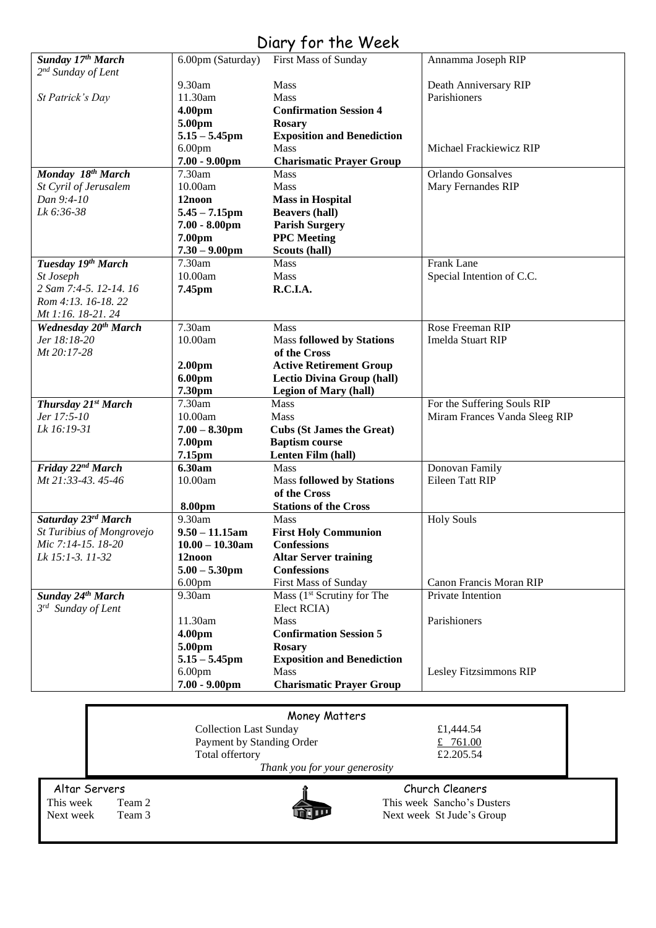### Diary for the Week

| Sunday 17th March              | 6.00pm (Saturday)             | First Mass of Sunday                   | Annamma Joseph RIP            |
|--------------------------------|-------------------------------|----------------------------------------|-------------------------------|
| 2 <sup>nd</sup> Sunday of Lent |                               |                                        |                               |
|                                | 9.30am                        | <b>Mass</b>                            | Death Anniversary RIP         |
| St Patrick's Day               | 11.30am                       | Mass                                   | Parishioners                  |
|                                | 4.00pm                        | <b>Confirmation Session 4</b>          |                               |
|                                | 5.00pm                        | <b>Rosary</b>                          |                               |
|                                | $5.15 - 5.45$ pm              | <b>Exposition and Benediction</b>      |                               |
|                                | 6.00 <sub>pm</sub>            | Mass                                   | Michael Frackiewicz RIP       |
|                                | $7.00 - 9.00$ pm              | <b>Charismatic Prayer Group</b>        |                               |
| Monday 18th March              | 7.30am                        | Mass                                   | Orlando Gonsalves             |
| St Cyril of Jerusalem          | 10.00am                       | Mass                                   | Mary Fernandes RIP            |
| Dan 9:4-10                     | 12noon                        | <b>Mass in Hospital</b>                |                               |
| Lk 6:36-38                     | $5.45 - 7.15$ pm              | <b>Beavers (hall)</b>                  |                               |
|                                | $7.00 - 8.00$ pm              | <b>Parish Surgery</b>                  |                               |
|                                | 7.00pm                        | <b>PPC</b> Meeting                     |                               |
|                                | $7.30 - 9.00$ pm              | Scouts (hall)                          |                               |
| Tuesday 19th March             | 7.30am                        | Mass                                   | Frank Lane                    |
| St Joseph                      | 10.00am                       | <b>Mass</b>                            | Special Intention of C.C.     |
| 2 Sam 7:4-5. 12-14. 16         | 7.45pm                        | R.C.I.A.                               |                               |
| Rom 4:13. 16-18. 22            |                               |                                        |                               |
| Mt 1:16. 18-21. 24             |                               |                                        |                               |
| <b>Wednesday 20th March</b>    | 7.30am                        | Mass                                   | Rose Freeman RIP              |
| Jer 18:18-20                   | 10.00am                       | <b>Mass followed by Stations</b>       | Imelda Stuart RIP             |
| Mt 20:17-28                    |                               | of the Cross                           |                               |
|                                | 2.00 <sub>pm</sub>            | <b>Active Retirement Group</b>         |                               |
|                                | 6.00pm                        | <b>Lectio Divina Group (hall)</b>      |                               |
|                                | 7.30pm                        | <b>Legion of Mary (hall)</b>           |                               |
| Thursday 21st March            | 7.30am                        | Mass                                   | For the Suffering Souls RIP   |
| Jer 17:5-10                    | 10.00am                       | <b>Mass</b>                            | Miram Frances Vanda Sleeg RIP |
| Lk 16:19-31                    | $7.00 - 8.30$ pm              | <b>Cubs (St James the Great)</b>       |                               |
|                                | 7.00pm                        | <b>Baptism course</b>                  |                               |
|                                | 7.15pm                        | Lenten Film (hall)                     |                               |
| Friday 22 <sup>nd</sup> March  | 6.30am                        | Mass                                   | Donovan Family                |
| Mt 21:33-43.45-46              | 10.00am                       | <b>Mass followed by Stations</b>       | Eileen Tatt RIP               |
|                                |                               | of the Cross                           |                               |
|                                | 8.00pm                        | <b>Stations of the Cross</b>           |                               |
| Saturday 23rd March            | 9.30am                        | <b>Mass</b>                            | <b>Holy Souls</b>             |
| St Turibius of Mongrovejo      | $9.50 - 11.15$ am             | <b>First Holy Communion</b>            |                               |
| Mic 7:14-15. 18-20             | $10.00 - 10.30$ am            | <b>Confessions</b>                     |                               |
| Lk 15:1-3. 11-32               | 12noon                        | <b>Altar Server training</b>           |                               |
|                                | $5.00 - 5.30$ pm              | <b>Confessions</b>                     |                               |
|                                | 6.00 <sub>pm</sub>            | First Mass of Sunday                   | Canon Francis Moran RIP       |
| Sunday 24th March              | 9.30am                        | Mass (1 <sup>st</sup> Scrutiny for The | Private Intention             |
| $3^{rd}$ Sunday of Lent        |                               | Elect RCIA)                            |                               |
|                                | 11.30am                       | Mass                                   | Parishioners                  |
|                                | 4.00pm                        | <b>Confirmation Session 5</b>          |                               |
|                                | 5.00pm                        | <b>Rosary</b>                          |                               |
|                                | $5.15 - 5.45$ pm              | <b>Exposition and Benediction</b>      |                               |
|                                | 6.00 <sub>pm</sub>            | <b>Mass</b>                            | Lesley Fitzsimmons RIP        |
|                                | $7.00 - 9.00$ pm              | <b>Charismatic Prayer Group</b>        |                               |
|                                |                               |                                        |                               |
|                                |                               |                                        |                               |
|                                |                               | Money Matters                          |                               |
|                                | <b>Collection Last Sunday</b> |                                        | £1,444.54                     |

|                                                                                                             | Money Matters                 |                                                                                                                                                                                                                                                                                                                     |
|-------------------------------------------------------------------------------------------------------------|-------------------------------|---------------------------------------------------------------------------------------------------------------------------------------------------------------------------------------------------------------------------------------------------------------------------------------------------------------------|
|                                                                                                             | <b>Collection Last Sunday</b> | £1,444.54                                                                                                                                                                                                                                                                                                           |
|                                                                                                             | Payment by Standing Order     | £ 761.00                                                                                                                                                                                                                                                                                                            |
|                                                                                                             | Total offertory               | £2.205.54                                                                                                                                                                                                                                                                                                           |
|                                                                                                             | Thank you for your generosity |                                                                                                                                                                                                                                                                                                                     |
| Altar Servers<br>$\mathbf{T}$ $\mathbf{L}$ $\mathbf{L}$ $\mathbf{T}$ $\mathbf{L}$ $\mathbf{L}$ $\mathbf{T}$ |                               | Church Cleaners<br>$TL_{1}^{*}$ and $TL_{2}^{*}$ $PL_{3}^{*}$ $PL_{4}^{*}$ $PL_{5}^{*}$ $PL_{6}^{*}$ $PL_{7}^{*}$ $PL_{8}^{*}$ $PL_{1}^{*}$ $PL_{1}^{*}$ $PL_{1}^{*}$ $PL_{1}^{*}$ $PL_{1}^{*}$ $PL_{1}^{*}$ $PL_{1}^{*}$ $PL_{1}^{*}$ $PL_{1}^{*}$ $PL_{1}^{*}$ $PL_{1}^{*}$ $PL_{1}^{*}$ $PL_{1}^{*}$ $PL_{1}^{*$ |





This week Team 2 This week Sancho's Dusters<br>Next week Team 3 This week St Jude's Group Next week St Jude's Group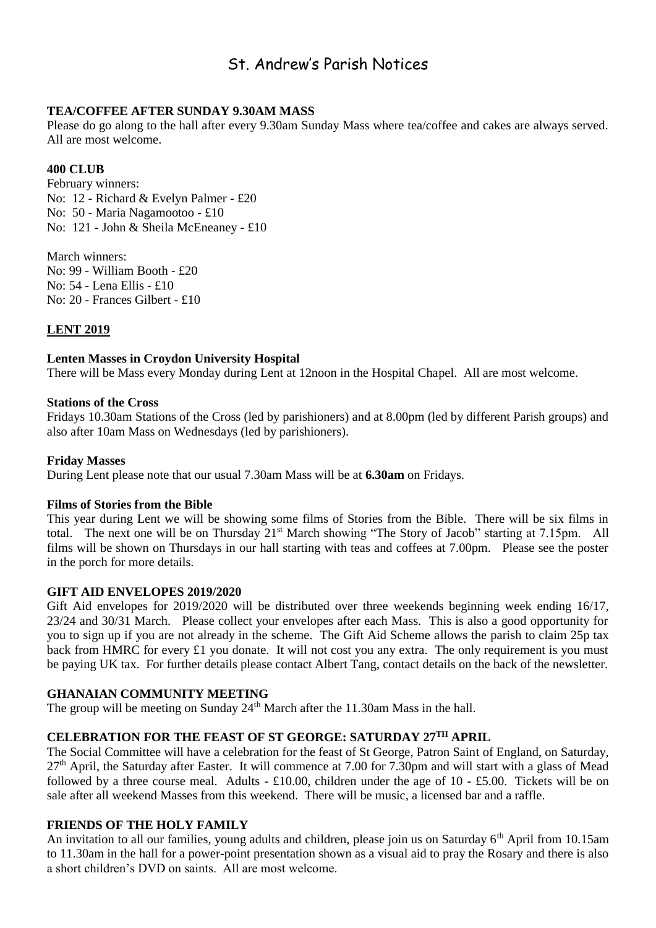### St. Andrew's Parish Notices

#### **TEA/COFFEE AFTER SUNDAY 9.30AM MASS**

Please do go along to the hall after every 9.30am Sunday Mass where tea/coffee and cakes are always served. All are most welcome.

#### **400 CLUB**

February winners: No: 12 - Richard & Evelyn Palmer - £20 No: 50 - Maria Nagamootoo - £10 No: 121 - John & Sheila McEneaney - £10

March winners: No: 99 - William Booth - £20 No: 54 - Lena Ellis - £10 No: 20 - Frances Gilbert - £10

#### **LENT 2019**

#### **Lenten Masses in Croydon University Hospital**

There will be Mass every Monday during Lent at 12noon in the Hospital Chapel. All are most welcome.

#### **Stations of the Cross**

Fridays 10.30am Stations of the Cross (led by parishioners) and at 8.00pm (led by different Parish groups) and also after 10am Mass on Wednesdays (led by parishioners).

#### **Friday Masses**

During Lent please note that our usual 7.30am Mass will be at **6.30am** on Fridays.

#### **Films of Stories from the Bible**

This year during Lent we will be showing some films of Stories from the Bible. There will be six films in total. The next one will be on Thursday 21<sup>st</sup> March showing "The Story of Jacob" starting at 7.15pm. All films will be shown on Thursdays in our hall starting with teas and coffees at 7.00pm. Please see the poster in the porch for more details.

#### **GIFT AID ENVELOPES 2019/2020**

Gift Aid envelopes for 2019/2020 will be distributed over three weekends beginning week ending 16/17, 23/24 and 30/31 March. Please collect your envelopes after each Mass. This is also a good opportunity for you to sign up if you are not already in the scheme. The Gift Aid Scheme allows the parish to claim 25p tax back from HMRC for every £1 you donate. It will not cost you any extra. The only requirement is you must be paying UK tax. For further details please contact Albert Tang, contact details on the back of the newsletter.

#### **GHANAIAN COMMUNITY MEETING**

The group will be meeting on Sunday  $24<sup>th</sup>$  March after the 11.30am Mass in the hall.

#### **CELEBRATION FOR THE FEAST OF ST GEORGE: SATURDAY 27TH APRIL**

The Social Committee will have a celebration for the feast of St George, Patron Saint of England, on Saturday, 27<sup>th</sup> April, the Saturday after Easter. It will commence at 7.00 for 7.30pm and will start with a glass of Mead followed by a three course meal. Adults - £10.00, children under the age of 10 - £5.00. Tickets will be on sale after all weekend Masses from this weekend. There will be music, a licensed bar and a raffle.

#### **FRIENDS OF THE HOLY FAMILY**

An invitation to all our families, young adults and children, please join us on Saturday 6<sup>th</sup> April from 10.15am to 11.30am in the hall for a power-point presentation shown as a visual aid to pray the Rosary and there is also a short children's DVD on saints. All are most welcome.